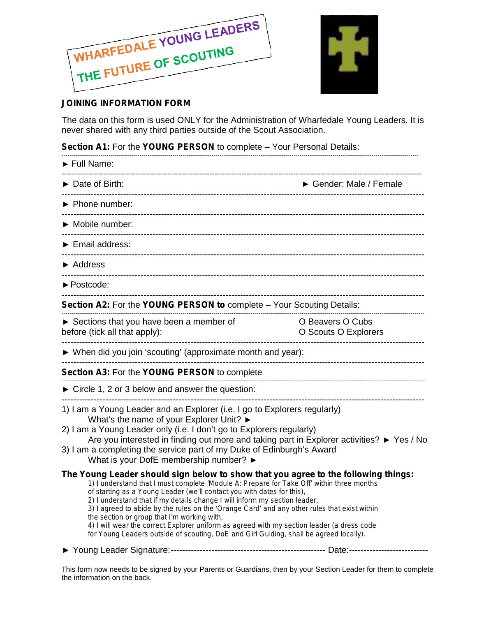



## **JOINING INFORMATION FORM**

The data on this form is used ONLY for the Administration of Wharfedale Young Leaders. It is never shared with any third parties outside of the Scout Association.

**Section A1:** For the **YOUNG PERSON** to complete – Your Personal Details:

| Full Name:                                                                                                                                                                                                                                                                                                                                                                                                                                                                                                                                                                                                                                                                     |                                  |  |
|--------------------------------------------------------------------------------------------------------------------------------------------------------------------------------------------------------------------------------------------------------------------------------------------------------------------------------------------------------------------------------------------------------------------------------------------------------------------------------------------------------------------------------------------------------------------------------------------------------------------------------------------------------------------------------|----------------------------------|--|
| Date of Birth:                                                                                                                                                                                                                                                                                                                                                                                                                                                                                                                                                                                                                                                                 | Gender: Male / Female            |  |
| Phone number:                                                                                                                                                                                                                                                                                                                                                                                                                                                                                                                                                                                                                                                                  |                                  |  |
| Mobile number:                                                                                                                                                                                                                                                                                                                                                                                                                                                                                                                                                                                                                                                                 |                                  |  |
| Email address:                                                                                                                                                                                                                                                                                                                                                                                                                                                                                                                                                                                                                                                                 |                                  |  |
| Address                                                                                                                                                                                                                                                                                                                                                                                                                                                                                                                                                                                                                                                                        |                                  |  |
| Postcode:                                                                                                                                                                                                                                                                                                                                                                                                                                                                                                                                                                                                                                                                      |                                  |  |
| Section A2: For the YOUNG PERSON to complete - Your Scouting Details:                                                                                                                                                                                                                                                                                                                                                                                                                                                                                                                                                                                                          |                                  |  |
| Sections that you have been a member of<br>before (tick all that apply):                                                                                                                                                                                                                                                                                                                                                                                                                                                                                                                                                                                                       | Beavers Cubs<br>Scouts Explorers |  |
| When did you join 'scouting' (approximate month and year):                                                                                                                                                                                                                                                                                                                                                                                                                                                                                                                                                                                                                     |                                  |  |
| Section A3: For the YOUNG PERSON to complete                                                                                                                                                                                                                                                                                                                                                                                                                                                                                                                                                                                                                                   |                                  |  |
| Circle 1, 2 or 3 below and answer the question:                                                                                                                                                                                                                                                                                                                                                                                                                                                                                                                                                                                                                                |                                  |  |
| 1) I am a Young Leader and an Explorer (i.e. I go to Explorers regularly)<br>What's the name of your Explorer Unit?<br>2) I am a Young Leader only (i.e. I don't go to Explorers regularly)<br>Are you interested in finding out more and taking part in Explorer activities?<br>3) I am a completing the service part of my Duke of Edinburgh's Award<br>What is your DofE membership number?                                                                                                                                                                                                                                                                                 | Yes / No                         |  |
| The Young Leader should sign below to show that you agree to the following things:<br>1) I understand that I must complete 'Module A: Prepare for Take Off' within three months<br>of starting as a Young Leader (we'll contact you with dates for this),<br>2) I understand that if my details change I will inform my section leader,<br>3) I agreed to abide by the rules on the 'Orange Card' and any other rules that exist within<br>the section or group that I'm working with,<br>4) I will wear the correct Explorer uniform as agreed with my section leader (a dress code<br>for Young Leaders outside of scouting, DoE and Girl Guiding, shall be agreed locally). |                                  |  |

This form now needs to be signed by your Parents or Guardians, then by your Section Leader for them to complete the information on the back.